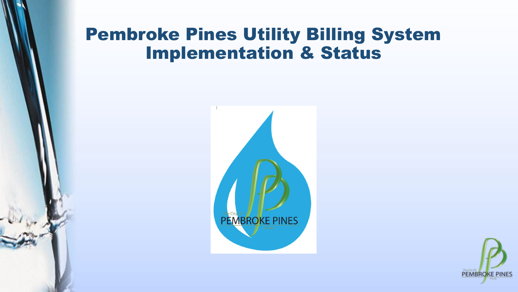#### Pembroke Pines Utility Billing System Implementation & Status



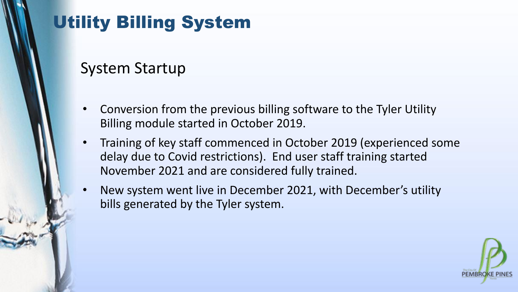#### System Startup

- Conversion from the previous billing software to the Tyler Utility Billing module started in October 2019.
- Training of key staff commenced in October 2019 (experienced some delay due to Covid restrictions). End user staff training started November 2021 and are considered fully trained.
- New system went live in December 2021, with December's utility bills generated by the Tyler system.

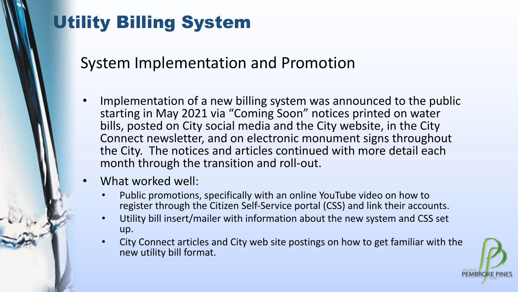System Implementation and Promotion

- Implementation of a new billing system was announced to the public starting in May 2021 via "Coming Soon" notices printed on water bills, posted on City social media and the City website, in the City Connect newsletter, and on electronic monument signs throughout the City. The notices and articles continued with more detail each month through the transition and roll-out.
- What worked well:
	- Public promotions, specifically with an online YouTube video on how to register through the Citizen Self-Service portal (CSS) and link their accounts.
	- Utility bill insert/mailer with information about the new system and CSS set up.
	- City Connect articles and City web site postings on how to get familiar with the new utility bill format.

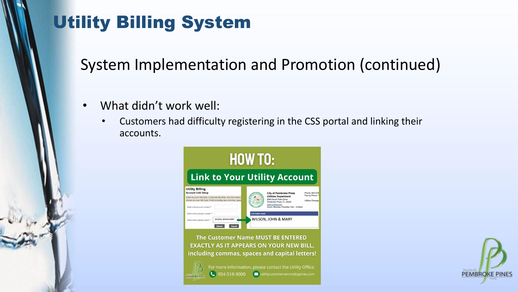System Implementation and Promotion (continued)

- What didn't work well:
	- Customers had difficulty registering in the CSS portal and linking their accounts.



The Customer Name MUST BE ENTERED **EXACTLY AS IT APPEARS ON YOUR NEW BILL,** including commas, spaces and capital letters!



For more information, please contact the Utility Office:

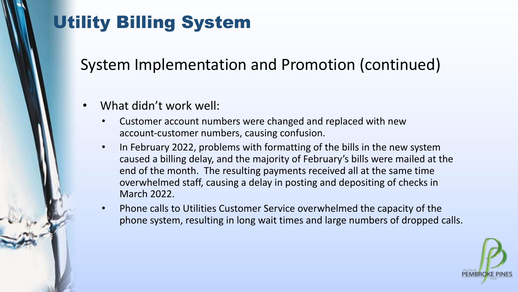System Implementation and Promotion (continued)

- What didn't work well:
	- Customer account numbers were changed and replaced with new account-customer numbers, causing confusion.
	- In February 2022, problems with formatting of the bills in the new system caused a billing delay, and the majority of February's bills were mailed at the end of the month. The resulting payments received all at the same time overwhelmed staff, causing a delay in posting and depositing of checks in March 2022.
	- Phone calls to Utilities Customer Service overwhelmed the capacity of the phone system, resulting in long wait times and large numbers of dropped calls.

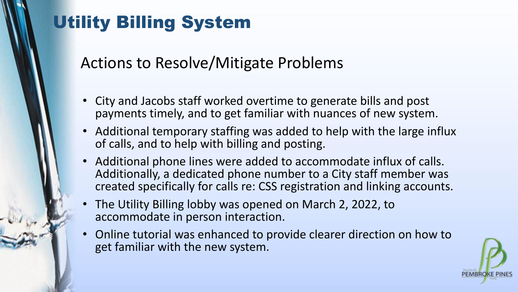Actions to Resolve/Mitigate Problems

- City and Jacobs staff worked overtime to generate bills and post payments timely, and to get familiar with nuances of new system.
- Additional temporary staffing was added to help with the large influx of calls, and to help with billing and posting.
- Additional phone lines were added to accommodate influx of calls. Additionally, a dedicated phone number to a City staff member was created specifically for calls re: CSS registration and linking accounts.
- The Utility Billing lobby was opened on March 2, 2022, to accommodate in person interaction.
- Online tutorial was enhanced to provide clearer direction on how to get familiar with the new system.

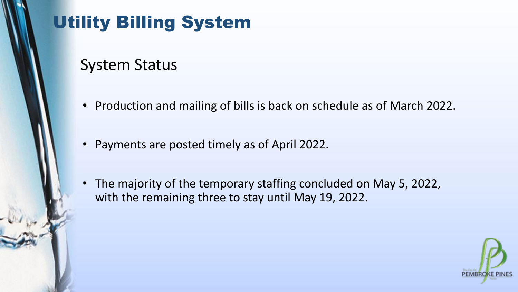#### System Status

- Production and mailing of bills is back on schedule as of March 2022.
- Payments are posted timely as of April 2022.
- The majority of the temporary staffing concluded on May 5, 2022, with the remaining three to stay until May 19, 2022.

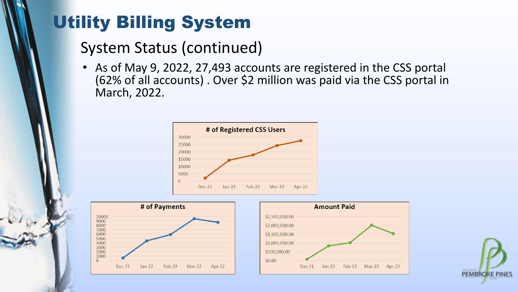#### System Status (continued)

• As of May 9, 2022, 27,493 accounts are registered in the CSS portal (62% of all accounts) . Over \$2 million was paid via the CSS portal in March, 2022.







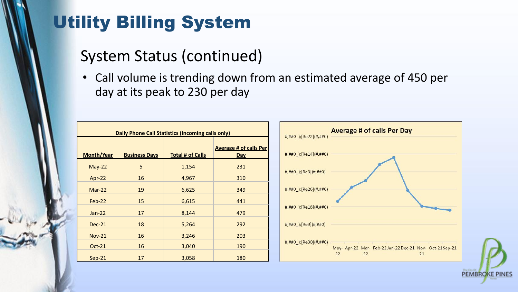#### System Status (continued)

• Call volume is trending down from an estimated average of 450 per day at its peak to 230 per day

|  | Daily Phone Call Statistics (Incoming calls only)<br><b>Month/Year</b><br><b>Business Days</b><br><b>Total # of Calls</b><br>Day<br>5<br>231<br>$May-22$<br>1,154<br>16<br>310<br>4,967<br>Apr-22<br>19<br>349<br>$Mar-22$<br>6,625<br>15<br>441<br>Feb-22<br>6,615<br>17<br>479<br>8,144<br>$Jan-22$<br>292<br>18<br>5,264<br><b>Dec-21</b><br>16<br>203<br>3,246<br>$Nov-21$ |    |       |                               |                                                                                                                                                                                                                                                                                                                            |  | <b>Average # of calls Per Day</b><br>#,##0_);[Re22](#,##0) |
|--|--------------------------------------------------------------------------------------------------------------------------------------------------------------------------------------------------------------------------------------------------------------------------------------------------------------------------------------------------------------------------------|----|-------|-------------------------------|----------------------------------------------------------------------------------------------------------------------------------------------------------------------------------------------------------------------------------------------------------------------------------------------------------------------------|--|------------------------------------------------------------|
|  |                                                                                                                                                                                                                                                                                                                                                                                |    |       | <b>Average # of calls Per</b> | $\texttt{#}, \texttt{#} \texttt{#} \texttt{0}$ ); [Re14](#,##0)                                                                                                                                                                                                                                                            |  |                                                            |
|  |                                                                                                                                                                                                                                                                                                                                                                                |    |       |                               |                                                                                                                                                                                                                                                                                                                            |  |                                                            |
|  |                                                                                                                                                                                                                                                                                                                                                                                |    |       |                               | #,##0_);[Re3](#,##0)                                                                                                                                                                                                                                                                                                       |  |                                                            |
|  |                                                                                                                                                                                                                                                                                                                                                                                |    |       |                               | #,##0_);[Re26](#,##0)                                                                                                                                                                                                                                                                                                      |  |                                                            |
|  |                                                                                                                                                                                                                                                                                                                                                                                |    |       |                               |                                                                                                                                                                                                                                                                                                                            |  |                                                            |
|  |                                                                                                                                                                                                                                                                                                                                                                                |    |       |                               | $###0$ ); [Re18]( $###0$ )                                                                                                                                                                                                                                                                                                 |  |                                                            |
|  |                                                                                                                                                                                                                                                                                                                                                                                |    |       |                               | $###0$ ); [Re9](#,##0)                                                                                                                                                                                                                                                                                                     |  |                                                            |
|  |                                                                                                                                                                                                                                                                                                                                                                                |    |       |                               |                                                                                                                                                                                                                                                                                                                            |  |                                                            |
|  | $Oct-21$                                                                                                                                                                                                                                                                                                                                                                       | 16 | 3,040 | 190                           | $#$ , ##0 ); [Re30](#, ##0)<br>$\sim$ . The second contract of the second contract of the second contract of the second contract of the second contract of the second contract of the second contract of the second contract of the second contract of the sec<br>May- Apr-22 Mar- Feb-22 Jan-22 Dec-21 Nov- Oct-21 Sep-21 |  |                                                            |
|  | $Sep-21$                                                                                                                                                                                                                                                                                                                                                                       | 17 | 3,058 | 180                           | 22<br>22<br>21                                                                                                                                                                                                                                                                                                             |  |                                                            |

**PEMBROKE PINES**